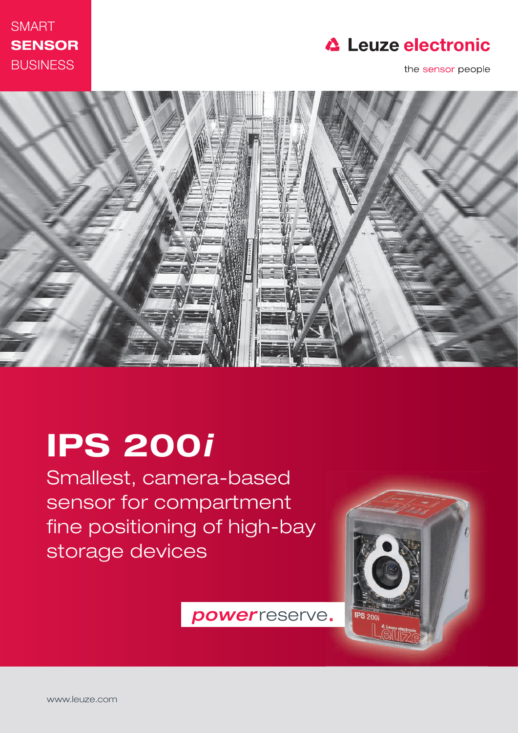



the sensor people



# IPS 200i

Smallest, camera-based sensor for compartment fine positioning of high-bay storage devices

**IPS 200** 

power reserve.